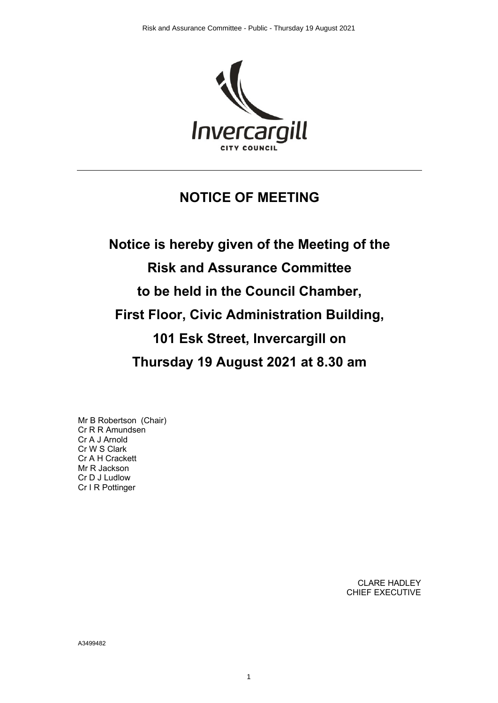

## **NOTICE OF MEETING**

**Notice is hereby given of the Meeting of the Risk and Assurance Committee to be held in the Council Chamber, First Floor, Civic Administration Building, 101 Esk Street, Invercargill on Thursday 19 August 2021 at 8.30 am**

Mr B Robertson (Chair) Cr R R Amundsen Cr A J Arnold Cr W S Clark Cr A H Crackett Mr R Jackson Cr D J Ludlow Cr I R Pottinger

> CLARE HADLEY CHIEF EXECUTIVE

A3499482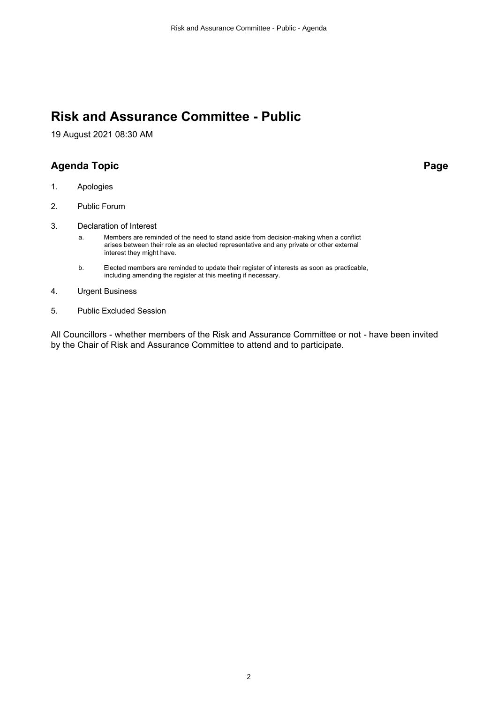# **Risk and Assurance Committee - Public**

19 August 2021 08:30 AM

## **Agenda Topic Page**

- 1. Apologies
- 2. Public Forum
- 3. Declaration of Interest

a. Members are reminded of the need to stand aside from decision-making when a conflict arises between their role as an elected representative and any private or other external interest they might have.

- b. Elected members are reminded to update their register of interests as soon as practicable, including amending the register at this meeting if necessary.
- 4. Urgent Business
- 5. Public Excluded Session

All Councillors - whether members of the Risk and Assurance Committee or not - have been invited by the Chair of Risk and Assurance Committee to attend and to participate.